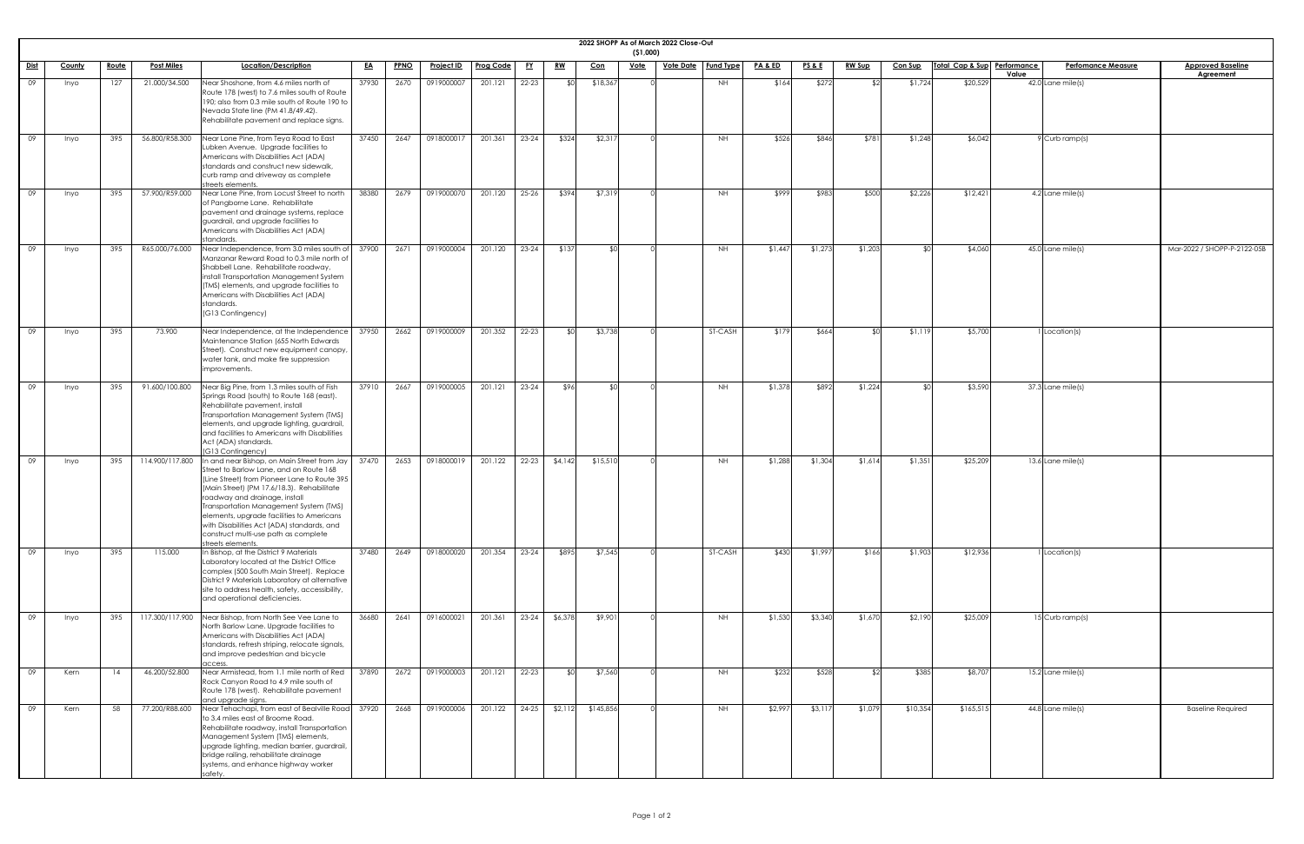|             |               |              |                   |                                                                                                                                                                                                                                                                                                                                                                                                                         |           |             |                   |           |                 |               |            | (51,000)    | 2022 SHOPP As of March 2022 Close-Out |           |                    |                 |               |                |                             |       |                           |                                              |
|-------------|---------------|--------------|-------------------|-------------------------------------------------------------------------------------------------------------------------------------------------------------------------------------------------------------------------------------------------------------------------------------------------------------------------------------------------------------------------------------------------------------------------|-----------|-------------|-------------------|-----------|-----------------|---------------|------------|-------------|---------------------------------------|-----------|--------------------|-----------------|---------------|----------------|-----------------------------|-------|---------------------------|----------------------------------------------|
| <u>Dist</u> | <u>County</u> | <u>Route</u> | <b>Post Miles</b> | <b>Location/Description</b>                                                                                                                                                                                                                                                                                                                                                                                             | <u>EA</u> | <b>PPNO</b> | <b>Project ID</b> | Prog Code | <u>FY</u>       | <u>RW</u>     | <u>Con</u> | <u>Vote</u> | <u>Vote Date   Fund Type</u>          |           | <u>PA &amp; ED</u> | <b>PS&amp;E</b> | <b>RW Sup</b> | <b>Con Sup</b> | Total Cap & Sup Performance | Value | <b>Perfomance Measure</b> | <b>Approved Baseline</b><br><b>Agreement</b> |
| 09          | Inyo          | 127          | 21.000/34.500     | Near Shoshone, from 4.6 miles north of<br>Route 178 (west) to 7.6 miles south of Route<br>190; also from 0.3 mile south of Route 190 to<br>Nevada State line (PM 41.8/49.42).<br>Rehabilitate pavement and replace signs.                                                                                                                                                                                               | 37930     | 2670        | 0919000007        | 201.121   | $22 - 23$       | \$0           | \$18,367   |             |                                       | <b>NH</b> | \$164              | \$272           |               | \$1,724        | \$20,529                    |       | $42.0$ Lane mile(s)       |                                              |
| 09          | <i>Inyo</i>   | 395          | 56.800/R58.300    | Near Lone Pine, from Teya Road to East<br>Lubken Avenue. Upgrade facilities to<br>Americans with Disabilities Act (ADA)<br>standards and construct new sidewalk,<br>curb ramp and driveway as complete<br>streets elements.                                                                                                                                                                                             | 37450     | 2647        | 0918000017        | 201.361   | $23 - 24$       | \$324         | \$2,317    |             |                                       | <b>NH</b> | \$526              | \$846           | \$781         | \$1,248        | \$6,042                     |       | 9 Curb ramp(s)            |                                              |
| 09          | Inyo          | 395          | 57.900/R59.000    | Near Lone Pine, from Locust Street to north<br>of Pangborne Lane. Rehabilitate<br>pavement and drainage systems, replace<br>guardrail, and upgrade facilities to<br>Americans with Disabilities Act (ADA)<br>standards.                                                                                                                                                                                                 | 38380     | 2679        | 0919000070        | 201.120   | $25 - 26$       | \$394         | \$7,319    |             |                                       | <b>NH</b> | \$999              | \$983           | \$500         | \$2,226        | \$12,421                    |       | 4.2 Lane mile(s)          |                                              |
| 09          | <i>Inyo</i>   | 395          | R65.000/76.000    | Near Independence, from 3.0 miles south of<br>Manzanar Reward Road to 0.3 mile north of<br>Shabbell Lane. Rehabilitate roadway,<br>install Transportation Management System<br>(TMS) elements, and upgrade facilities to<br>Americans with Disabilities Act (ADA)<br>standards.<br>(G13 Contingency)                                                                                                                    | 37900     | 2671        | 0919000004        | 201.120   | $23-24$         | \$137         | \$∩        |             |                                       | <b>NH</b> | \$1,447            | \$1,273         | \$1,203       | ו∩⊅            | \$4,060                     |       | $45.0$ Lane mile(s)       | Mar-2022 / SHOPP-P-2122-05B                  |
| 09          | Inyo          | 395          | 73.900            | Near Independence, at the Independence<br>Maintenance Station (655 North Edwards<br>Street). Construct new equipment canopy,<br>water tank, and make fire suppression<br>improvements.                                                                                                                                                                                                                                  | 37950     | 2662        | 0919000009        | 201.352   | $22 - 23$       | ו∩≯           | \$3,738    |             |                                       | ST-CASH   | \$179              | \$664           |               | \$1,119        | \$5,700                     |       | 1 Location(s)             |                                              |
| 09          | Inyo          | 395          | 91.600/100.800    | Near Big Pine, from 1.3 miles south of Fish<br>Springs Road (south) to Route 168 (east).<br>Rehabilitate pavement, install<br>Transportation Management System (TMS)<br>elements, and upgrade lighting, guardrail,<br>and facilities to Americans with Disabilities<br>Act (ADA) standards.<br>(G13 Contingency)                                                                                                        | 37910     | 2667        | 0919000005        | 201.121   | $23 - 24$       | \$96          | \$0        |             |                                       | <b>NH</b> | \$1,378            | \$892           | \$1,224       | \$∩            | \$3,590                     |       | $37.3$ Lane mile(s)       |                                              |
| 09          | <i>Inyo</i>   | 395          | 114.900/117.800   | In and near Bishop, on Main Street from Jay<br>Street to Barlow Lane, and on Route 168<br>(Line Street) from Pioneer Lane to Route 395<br>(Main Street) (PM 17.6/18.3). Rehabilitate<br>roadway and drainage, install<br>Transportation Management System (TMS)<br>elements, upgrade facilities to Americans<br>with Disabilities Act (ADA) standards, and<br>construct multi-use path as complete<br>streets elements. | 37470     | 2653        | 0918000019        | 201.122   | $22 - 23$       | \$4,142       | \$15,510   |             |                                       | <b>NH</b> | \$1,288            | \$1,304         | \$1,614       | \$1,351        | \$25,209                    |       | 13.6 Lane mile(s)         |                                              |
| 09          | Inyo          | 395          | 115.000           | In Bishop, at the District 9 Materials<br>Laboratory located at the District Office<br>complex (500 South Main Street). Replace<br>District 9 Materials Laboratory at alternative<br>site to address health, safety, accessibility,<br>and operational deficiencies.                                                                                                                                                    | 37480     | 2649        | 0918000020        | 201.354   | $23-24$         | \$895         | \$7,545    |             |                                       | ST-CASH   | \$430              | \$1,997         | \$166         | \$1,903        | \$12,936                    |       | 1 Location(s)             |                                              |
| 09          | Inyo          | 395          |                   | 117.300/117.900 Near Bishop, from North See Vee Lane to<br>North Barlow Lane. Upgrade facilities to<br>Americans with Disabilities Act (ADA)<br>standards, refresh striping, relocate signals,<br>and improve pedestrian and bicycle<br>access.                                                                                                                                                                         | 36680     | 2641        | 0916000021        | 201.361   |                 | 23-24 \$6,378 | \$9,901    |             |                                       | <b>NH</b> | \$1,530            | \$3,340         | \$1,670       | \$2,190        | \$25,009                    |       | 15 Curb ramp(s)           |                                              |
| 09          | Kern          | 14           | 46.200/52.800     | Near Armistead, from 1.1 mile north of Red<br>Rock Canyon Road to 4.9 mile south of<br>Route 178 (west). Rehabilitate pavement<br>and upgrade signs.                                                                                                                                                                                                                                                                    | 37890     | 2672        | 0919000003        | 201.121   | $22 - 23$       | .\$∩I         | \$7,560    |             |                                       | <b>NH</b> | \$232              | \$528           |               | \$385          | \$8,707                     |       | $15.2$ Lane mile(s)       |                                              |
| 09          | Kern          | 58           | 77.200/R88.600    | Near Tehachapi, from east of Bealville Road<br>to 3.4 miles east of Broome Road.<br>Rehabilitate roadway, install Transportation<br>Management System (TMS) elements,<br>upgrade lighting, median barrier, guardrail,<br>bridge railing, rehabilitate drainage<br>systems, and enhance highway worker<br>safety.                                                                                                        | 37920     | 2668        | 0919000006        | 201.122   | $24-25$ \$2,112 |               | \$145,856  |             |                                       | <b>NH</b> | \$2,997            | \$3,117         | \$1,079       | \$10,354       | \$165,515                   |       | $44.8$ Lane mile(s)       | <b>Baseline Required</b>                     |